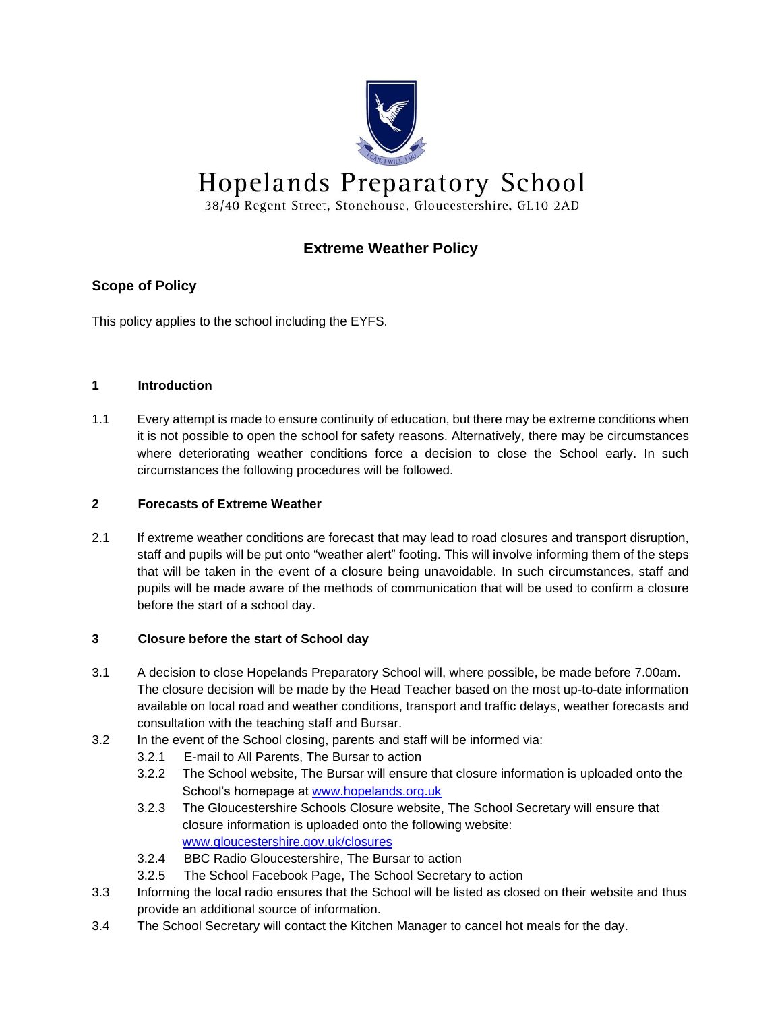

# **Extreme Weather Policy**

# **Scope of Policy**

This policy applies to the school including the EYFS.

# **1 Introduction**

1.1 Every attempt is made to ensure continuity of education, but there may be extreme conditions when it is not possible to open the school for safety reasons. Alternatively, there may be circumstances where deteriorating weather conditions force a decision to close the School early. In such circumstances the following procedures will be followed.

#### **2 Forecasts of Extreme Weather**

2.1 If extreme weather conditions are forecast that may lead to road closures and transport disruption, staff and pupils will be put onto "weather alert" footing. This will involve informing them of the steps that will be taken in the event of a closure being unavoidable. In such circumstances, staff and pupils will be made aware of the methods of communication that will be used to confirm a closure before the start of a school day.

# **3 Closure before the start of School day**

- 3.1 A decision to close Hopelands Preparatory School will, where possible, be made before 7.00am. The closure decision will be made by the Head Teacher based on the most up-to-date information available on local road and weather conditions, transport and traffic delays, weather forecasts and consultation with the teaching staff and Bursar.
- 3.2 In the event of the School closing, parents and staff will be informed via:
	- 3.2.1 E-mail to All Parents, The Bursar to action
	- 3.2.2 The School website, The Bursar will ensure that closure information is uploaded onto the School's homepage at [www.hopelands.org.uk](http://www.hopelands.org.uk/)
	- 3.2.3 The Gloucestershire Schools Closure website, The School Secretary will ensure that closure information is uploaded onto the following website: [www.gloucestershire.gov.uk/closures](http://www.gloucestershire.gov.uk/closures)
	- 3.2.4 BBC Radio Gloucestershire, The Bursar to action
	- 3.2.5 The School Facebook Page, The School Secretary to action
- 3.3 Informing the local radio ensures that the School will be listed as closed on their website and thus provide an additional source of information.
- 3.4 The School Secretary will contact the Kitchen Manager to cancel hot meals for the day.